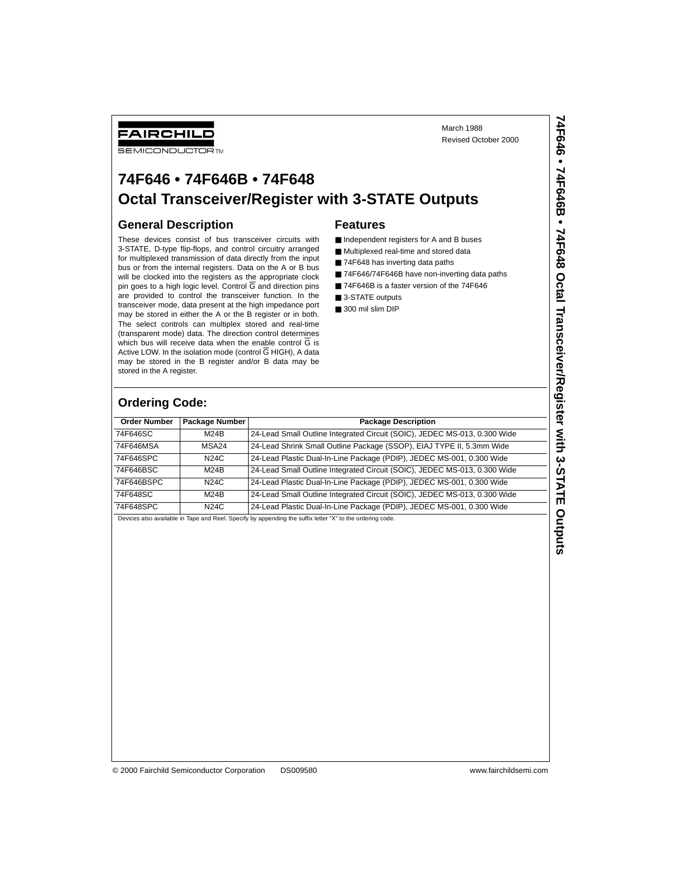March 1988 Revised October 2000

### **74F646 • 74F646B • 74F648 Octal Transceiver/Register with 3-STATE Outputs**

#### **General Description**

FAIRCHILD **SEMICONDUCTOR** TM

These devices consist of bus transceiver circuits with 3-STATE, D-type flip-flops, and control circuitry arranged for multiplexed transmission of data directly from the input bus or from the internal registers. Data on the A or B bus will be clocked into the registers as the appropriate clock pin goes to a high logic level. Control G and direction pins are provided to control the transceiver function. In the transceiver mode, data present at the high impedance port may be stored in either the A or the B register or in both. The select controls can multiplex stored and real-time (transparent mode) data. The direction control determines which bus will receive data when the enable control G is Active LOW. In the isolation mode (control  $\overline{G}$  HIGH), A data may be stored in the B register and/or B data may be stored in the A register.

#### **Features**

- Independent registers for A and B buses
- Multiplexed real-time and stored data
- 74F648 has inverting data paths
- 74F646/74F646B have non-inverting data paths
- 74F646B is a faster version of the 74F646
- 3-STATE outputs
- 300 mil slim DIP

#### **Ordering Code:**

| <b>Order Number</b> | Package Number | <b>Package Description</b>                                                |
|---------------------|----------------|---------------------------------------------------------------------------|
| 74F646SC            | M24B           | 24-Lead Small Outline Integrated Circuit (SOIC), JEDEC MS-013, 0.300 Wide |
| 74F646MSA           | MSA24          | 24-Lead Shrink Small Outline Package (SSOP), EIAJ TYPE II, 5.3mm Wide     |
| 74F646SPC           | N24C           | 24-Lead Plastic Dual-In-Line Package (PDIP), JEDEC MS-001, 0.300 Wide     |
| 74F646BSC           | M24B           | 24-Lead Small Outline Integrated Circuit (SOIC), JEDEC MS-013, 0.300 Wide |
| 74F646BSPC          | N24C           | 24-Lead Plastic Dual-In-Line Package (PDIP), JEDEC MS-001, 0.300 Wide     |
| 74F648SC            | M24B           | 24-Lead Small Outline Integrated Circuit (SOIC), JEDEC MS-013, 0.300 Wide |
| 74F648SPC           | N24C           | 24-Lead Plastic Dual-In-Line Package (PDIP), JEDEC MS-001, 0.300 Wide     |

Devices also available in Tape and Reel. Specify by appending the suffix letter "X" to the ordering code.

© 2000 Fairchild Semiconductor Corporation DS009580 www.fairchildsemi.com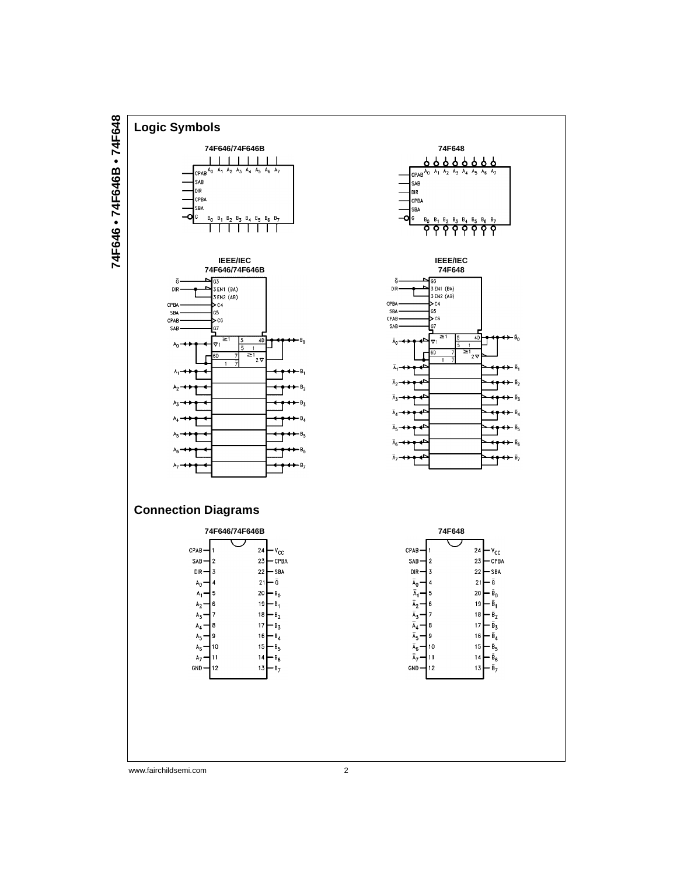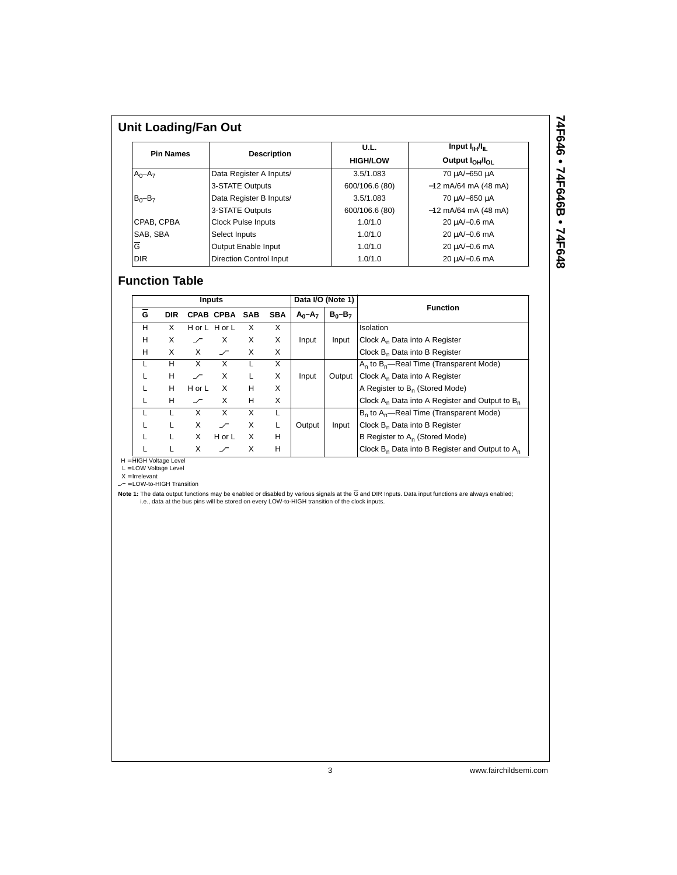|                  | <b>Unit Loading/Fan Out</b>    |                 |                                         |  |  |  |  |  |  |
|------------------|--------------------------------|-----------------|-----------------------------------------|--|--|--|--|--|--|
| <b>Pin Names</b> |                                | U.L.            | Input $I_{\rm HI}/I_{\rm H}$            |  |  |  |  |  |  |
|                  | <b>Description</b>             | <b>HIGH/LOW</b> | Output I <sub>OH</sub> /I <sub>OI</sub> |  |  |  |  |  |  |
| $A_0 - A_7$      | Data Register A Inputs/        | 3.5/1.083       | 70 μA/-650 μA                           |  |  |  |  |  |  |
|                  | 3-STATE Outputs                | 600/106.6 (80)  | $-12$ mA/64 mA (48 mA)                  |  |  |  |  |  |  |
| $B_0 - B_7$      | Data Register B Inputs/        | 3.5/1.083       | 70 μA/-650 μA                           |  |  |  |  |  |  |
|                  | 3-STATE Outputs                | 600/106.6 (80)  | $-12$ mA/64 mA (48 mA)                  |  |  |  |  |  |  |
| CPAB. CPBA       | <b>Clock Pulse Inputs</b>      | 1.0/1.0         | 20 µA/-0.6 mA                           |  |  |  |  |  |  |
| SAB, SBA         | Select Inputs                  | 1.0/1.0         | 20 µA/-0.6 mA                           |  |  |  |  |  |  |
| Ğ                | Output Enable Input            | 1.0/1.0         | 20 µA/-0.6 mA                           |  |  |  |  |  |  |
| <b>DIR</b>       | <b>Direction Control Input</b> | 1.0/1.0         | 20 µA/-0.6 mA                           |  |  |  |  |  |  |

# 74F646 • 74F646B • 74F648 **74F646 • 74F646B • 74F648**

#### **Function Table**

|   | Inputs     |            |               |     |            |             | Data I/O (Note 1) | <b>Function</b>                                      |
|---|------------|------------|---------------|-----|------------|-------------|-------------------|------------------------------------------------------|
| G | <b>DIR</b> |            | CPAB CPBA     | SAB | <b>SBA</b> | $A_0 - A_7$ | $B_0 - B_7$       |                                                      |
| н | X          |            | H or L H or L | X   | X          |             |                   | Isolation                                            |
| Н | X          |            | X             | X   | X          | Input       | Input             | Clock A <sub>n</sub> Data into A Register            |
| н | X          | X          | $\sqrt{ }$    | X   | X          |             |                   | Clock B <sub>n</sub> Data into B Register            |
|   | н          | X          | X             |     | X          |             |                   | $A_n$ to $B_n$ —Real Time (Transparent Mode)         |
|   | н          | 一          | X             |     | X          | Input       | Output            | Clock A <sub>n</sub> Data into A Register            |
|   | н          | $H$ or $L$ | X             | н   | X          |             |                   | A Register to B <sub>n</sub> (Stored Mode)           |
|   | H          | $\sqrt{ }$ | X             | н   | X          |             |                   | Clock $A_n$ Data into A Register and Output to $B_n$ |
|   |            | X          | X             | X   |            |             |                   | $B_n$ to $A_n$ —Real Time (Transparent Mode)         |
|   |            | X          |               | X   |            | Output      | Input             | Clock B <sub>n</sub> Data into B Register            |
|   |            | X          | H or L        | X   | н          |             |                   | B Register to A <sub>n</sub> (Stored Mode)           |
|   |            | X          |               | x   | H          |             |                   | Clock $B_n$ Data into B Register and Output to $A_n$ |

H = HIGH Voltage Level<br>L = LOW Voltage Level<br>X = Irrelevant<br>- = LOW-to-HIGH Transition

Note 1: The data output functions may be enabled or disabled by various signals at the G and DIR Inputs. Data input functions are always enabled;<br>i.e., data at the bus pins will be stored on every LOW-to-HIGH transition of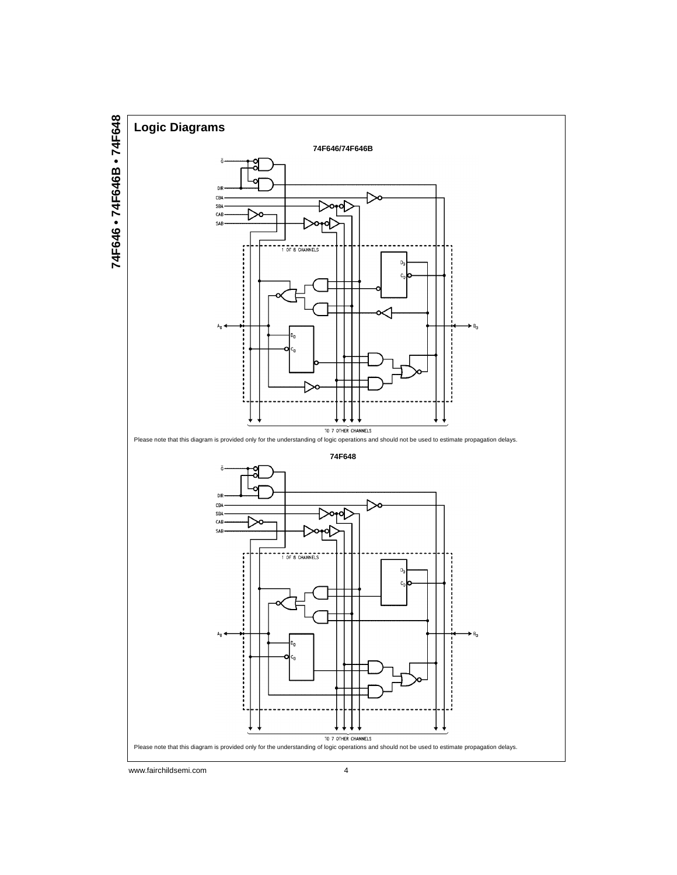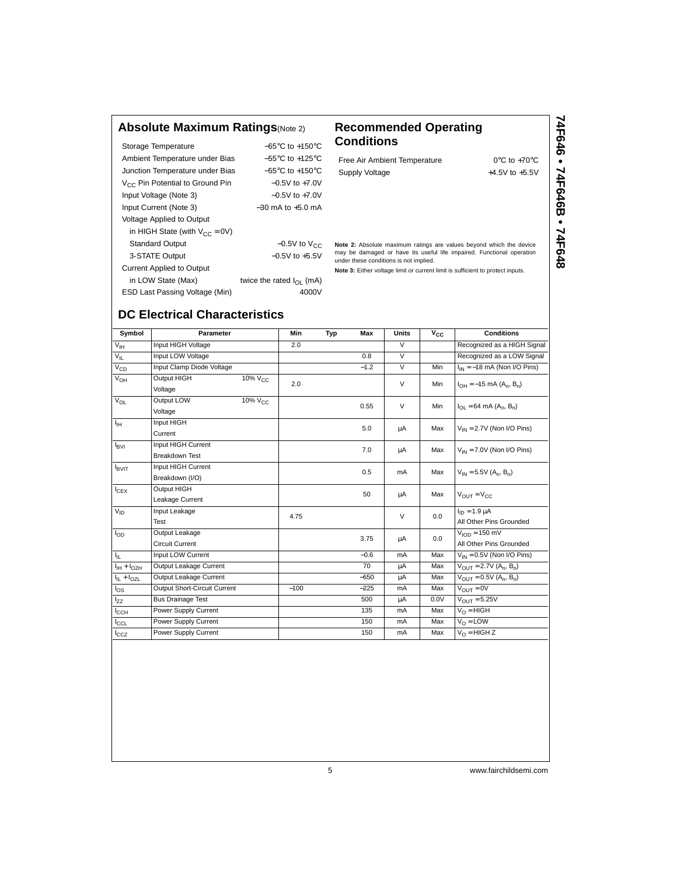#### **Absolute Maximum Ratings**(Note 2) **Recommended Operating**

| Storage Temperature                         | $-65^{\circ}$ C to $+150^{\circ}$ C  |
|---------------------------------------------|--------------------------------------|
| Ambient Temperature under Bias              | $-55^{\circ}$ C to $+125^{\circ}$ C  |
| Junction Temperature under Bias             | $-55^{\circ}$ C to $+150^{\circ}$ C  |
| V <sub>CC</sub> Pin Potential to Ground Pin | $-0.5V$ to $+7.0V$                   |
| Input Voltage (Note 3)                      | $-0.5V$ to $+7.0V$                   |
| Input Current (Note 3)                      | $-30$ mA to $+5.0$ mA                |
| Voltage Applied to Output                   |                                      |
| in HIGH State (with $V_{CC} = 0V$ )         |                                      |
| <b>Standard Output</b>                      | $-0.5V$ to $V_{CC}$                  |
| 3-STATE Output                              | $-0.5V$ to $+5.5V$                   |
| <b>Current Applied to Output</b>            |                                      |
| in LOW State (Max)                          | twice the rated $I_{\text{OL}}$ (mA) |
| ESD Last Passing Voltage (Min)              | 4000V                                |

**DC Electrical Characteristics**

**Conditions**

| Free Air Ambient Temperature | $0^{\circ}$ C to +70 $^{\circ}$ C |
|------------------------------|-----------------------------------|
| Supply Voltage               | $+4.5V$ to $+5.5V$                |

**Note 2:** Absolute maximum ratings are values beyond which the device may be damaged or have its useful life impaired. Functional operation under these conditions is not implied.

**Note 3:** Either voltage limit or current limit is sufficient to protect inputs.

## 74F646 • 74F646B • 74F648 **74F646 • 74F646B • 74F648**

Symbol **Parameter Min Typ Max Units**  $V_{\rm CC}$  **Conditions** V<sub>IH</sub> Input HIGH Voltage 2.0 2.0 V Recognized as a HIGH Signal V<sub>IL</sub> Input LOW Voltage **1.2 Community** 1.8 V Recognized as a LOW Signal V<sub>CD</sub> Input Clamp Diode Voltage −1.2 V Min II<sub>IN</sub> = −18 mA (Non I/O Pins) V<sub>OH</sub> Output HIGH 10% V<sub>CC</sub> 2.0 V V Min  $\vert$  I<sub>OH</sub> = −15 mA (A<sub>n</sub>, B<sub>n</sub>)  $V_{\text{OL}}$  Output LOW 10%  $V_{\text{CC}}$  0.55 V Min  $I_{\text{OL}} = 64 \text{ mA } (A_n, B_n)$  Voltage  $V_{\text{H}}$  Input HIGH current current current current current current current current current current current current current current current current current current current current current current current current current IBVI Input HIGH Current 7.0 <sup>µ</sup>A Max VIN <sup>=</sup> 7.0V (Non I/O Pins) Breakdown Test  $\begin{array}{ccc}\n\text{I} & \text{I} & \text{I} & \text{I} \\
\text{I} & \text{I} & \text{I}\n\end{array}$  Breakdown (I/O)  $\begin{array}{ccc}\n\text{I} & \text{I} & \text{I} \\
\text{I} & \text{I} & \text{I}\n\end{array}$  Breakdown (I/O)  $I_{\text{CEX}}$  Output HIGH  $I_{\text{CEX}}$  Output HIGH  $I_{\text{CEX}}$  and  $I_{\text{U}}$  and  $I_{\text{U}}$  and  $I_{\text{U}}$  and  $I_{\text{U}}$  and  $I_{\text{U}}$  and  $I_{\text{U}}$  and  $I_{\text{U}}$  and  $I_{\text{U}}$  and  $I_{\text{U}}$  and  $I_{\text{U}}$  and  $I_{\text{U}}$  and  $I_{\text{$  $V_{\text{ID}}$  | Input Leakage  $4.75$   $V_{\text{ID}}$  |  $0.0$  |  $I_{\text{ID}} = 1.9 \mu\text{A}$ mput Leakage<br>Test All Other Pins Grounded All Other Pins Grounded  $I_{OD}$  Output Leakage  $3.75$   $\mu$   $\mu$  0.0  $\mu$   $\mu$  0.0  $\mu$   $\mu$  0.0  $\mu$   $\mu$   $\mu$ Circuit Current Current 2000 Published Current 2000 Published Circuit Current 2000 Published Circuit Current 2000 Published Circuit Current 2000 Published Circuit Current 2000 Published Circuit Current 2000 Published Circu  $I_{II}$  Input LOW Current  $I_{II}$  Input LOW Current  $I_{II}$  + 1<sub>OZH</sub> Output Leakage Current 70 μA Max  $V_{III} = 0.5V$  (Non I/O Pins)

 $I_{\rm IL} + I_{\rm OZL}$  Output Leakage Current  $-650$   $\mu$ A Max  $V_{\rm OUT} = 0.5V (A_n, B_n)$ I<sub>OS</sub> Output Short-Circuit Current -100 −225 mA Max V<sub>OUT</sub> = 0V I<sub>ZZ</sub> Bus Drainage Test 500 μA 0.0V V<sub>OUT</sub> = 5.25V<br>I<sub>CCH</sub> Power Supply Current 135 mA Max V<sub>O</sub> = HIGH  $\frac{1}{C}$ CH Power Supply Current 135 mA Max  $V_O = HIGH$ <br>  $\frac{1}{C}$ Power Supply Current 150 mA Max  $V_O = LOW$ 

I<sub>CCZ</sub> Power Supply Current 150 mA Max V<sub>O</sub> = HIGH Z

 $I_{\text{IH}} + I_{\text{OZH}}$  Output Leakage Current 70 µA

ICCL Power Supply Current 150 mA Max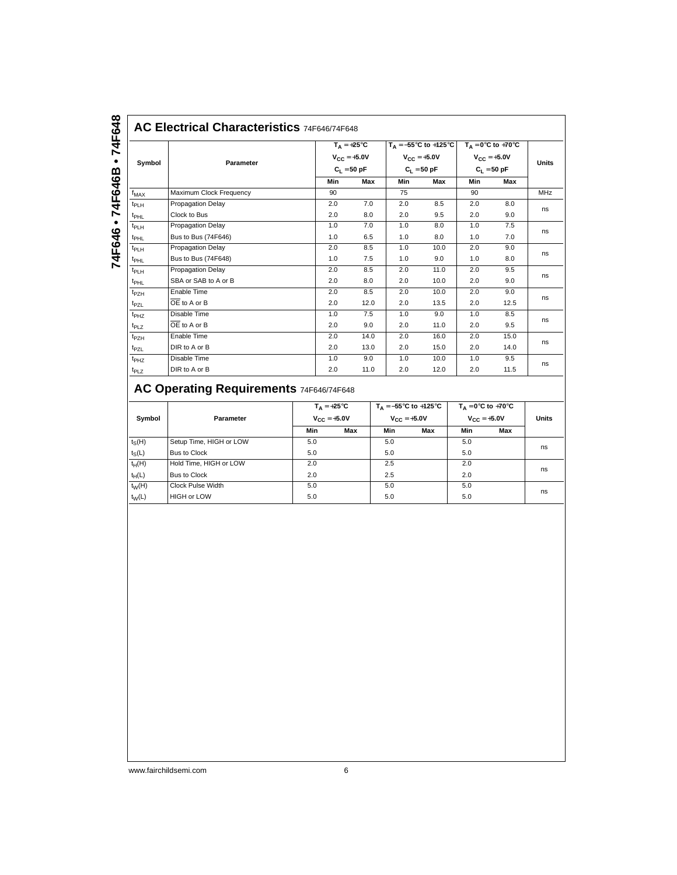| Symbol           | Parameter                 |     | $T_A = +25^{\circ}C$<br>$V_{CC} = +5.0V$ |     | $V_{CC} = +5.0V$ | $T_A = -55^{\circ}C$ to +125°C $T_A = 0^{\circ}C$ to +70°C<br>$V_{CC} = +5.0V$<br>$C_1 = 50$ pF |      | <b>Units</b> |
|------------------|---------------------------|-----|------------------------------------------|-----|------------------|-------------------------------------------------------------------------------------------------|------|--------------|
|                  |                           |     | $C_1 = 50 pF$                            |     | $C_1 = 50 pF$    |                                                                                                 |      |              |
|                  |                           | Min | Max                                      | Min | Max              | Min                                                                                             | Max  |              |
| $f_{MAX}$        | Maximum Clock Frequency   | 90  |                                          | 75  |                  | 90                                                                                              |      | MHz          |
| t <sub>PLH</sub> | <b>Propagation Delay</b>  | 2.0 | 7.0                                      | 2.0 | 8.5              | 2.0                                                                                             | 8.0  | ns           |
| t <sub>PHL</sub> | Clock to Bus              | 2.0 | 8.0                                      | 2.0 | 9.5              | 2.0                                                                                             | 9.0  |              |
| $t_{PLH}$        | <b>Propagation Delay</b>  | 1.0 | 7.0                                      | 1.0 | 8.0              | 1.0                                                                                             | 7.5  |              |
| $t_{\rm PHL}$    | Bus to Bus (74F646)       | 1.0 | 6.5                                      | 1.0 | 8.0              | 1.0                                                                                             | 7.0  | ns           |
| $t_{PLH}$        | <b>Propagation Delay</b>  | 2.0 | 8.5                                      | 1.0 | 10.0             | 2.0                                                                                             | 9.0  | ns           |
| <sup>t</sup> PHL | Bus to Bus (74F648)       | 1.0 | 7.5                                      | 1.0 | 9.0              | 1.0                                                                                             | 8.0  |              |
| $t_{PLH}$        | <b>Propagation Delay</b>  | 2.0 | 8.5                                      | 2.0 | 11.0             | 2.0                                                                                             | 9.5  |              |
| $t_{\rm PHL}$    | SBA or SAB to A or B      | 2.0 | 8.0                                      | 2.0 | 10.0             | 2.0                                                                                             | 9.0  | ns           |
| $t_{PZH}$        | Enable Time               | 2.0 | 8.5                                      | 2.0 | 10.0             | 2.0                                                                                             | 9.0  |              |
| $t_{PZL}$        | $OE$ to A or B            | 2.0 | 12.0                                     | 2.0 | 13.5             | 2.0                                                                                             | 12.5 | ns           |
| $t_{PHZ}$        | Disable Time              | 1.0 | 7.5                                      | 1.0 | 9.0              | 1.0                                                                                             | 8.5  | ns           |
| $t_{PLZ}$        | $\overline{OE}$ to A or B | 2.0 | 9.0                                      | 2.0 | 11.0             | 2.0                                                                                             | 9.5  |              |
| $t_{PZH}$        | Enable Time               | 2.0 | 14.0                                     | 2.0 | 16.0             | 2.0                                                                                             | 15.0 |              |
| t <sub>PZL</sub> | DIR to A or B             | 2.0 | 13.0                                     | 2.0 | 15.0             | 2.0                                                                                             | 14.0 | ns           |
| t <sub>PHZ</sub> | Disable Time              | 1.0 | 9.0                                      | 1.0 | 10.0             | 1.0                                                                                             | 9.5  |              |
| $t_{PLZ}$        | DIR to A or B             | 2.0 | 11.0                                     | 2.0 | 12.0             | 2.0                                                                                             | 11.5 | ns           |

## **AC Operating Requirements** 74F646/74F648

| Symbol   | Parameter               | $T_A = +25^{\circ}C$<br>$V_{CC} = +5.0V$ |     | $V_{CC} = +5.0V$ | $T_A = -55^{\circ}$ C to +125 $^{\circ}$ C | $T_A = 0^\circ C$ to +70 $^\circ C$<br>$V_{C} = +5.0V$ |     | <b>Units</b> |  |
|----------|-------------------------|------------------------------------------|-----|------------------|--------------------------------------------|--------------------------------------------------------|-----|--------------|--|
|          |                         | Min                                      | Max | Min              | Max                                        | Min                                                    | Max |              |  |
| $t_S(H)$ | Setup Time, HIGH or LOW | 5.0                                      |     | 5.0              |                                            | 5.0                                                    |     | ns           |  |
| $t_S(L)$ | Bus to Clock            | 5.0                                      |     | 5.0              |                                            | 5.0                                                    |     |              |  |
| $t_H(H)$ | Hold Time, HIGH or LOW  | 2.0                                      |     | 2.5              |                                            | 2.0                                                    |     | ns           |  |
| $t_H(L)$ | Bus to Clock            | 2.0                                      |     | 2.5              |                                            | 2.0                                                    |     |              |  |
| $t_W(H)$ | Clock Pulse Width       | 5.0                                      |     | 5.0              |                                            | 5.0                                                    |     |              |  |
| $t_W(L)$ | <b>HIGH or LOW</b>      | 5.0                                      |     | 5.0              |                                            | 5.0                                                    |     | ns           |  |